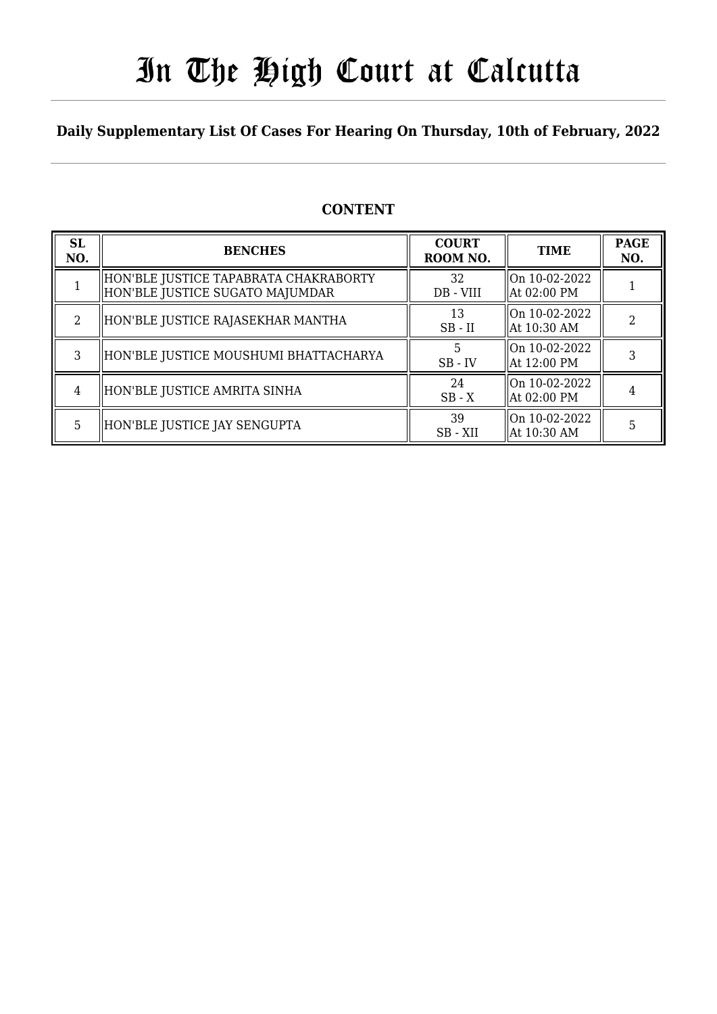# In The High Court at Calcutta

### **Daily Supplementary List Of Cases For Hearing On Thursday, 10th of February, 2022**

### **CONTENT**

| <b>SL</b><br>NO. | <b>BENCHES</b>                                                           | <b>COURT</b><br>ROOM NO. | <b>TIME</b>                                      | <b>PAGE</b><br>NO. |
|------------------|--------------------------------------------------------------------------|--------------------------|--------------------------------------------------|--------------------|
|                  | HON'BLE JUSTICE TAPABRATA CHAKRABORTY<br>HON'BLE JUSTICE SUGATO MAJUMDAR | 32<br>DB - VIII          | On 10-02-2022<br>At 02:00 PM                     |                    |
| $\mathfrak{D}$   | HON'BLE JUSTICE RAJASEKHAR MANTHA                                        | 13<br>$SB$ - $II$        | On 10-02-2022<br>  At 10:30 AM                   | ∍                  |
| 3                | HON'BLE JUSTICE MOUSHUMI BHATTACHARYA                                    | 5<br>$SB$ - $IV$         | On 10-02-2022<br>At 12:00 PM                     |                    |
| 4                | HON'BLE JUSTICE AMRITA SINHA                                             | 24<br>$SB - X$           | On 10-02-2022<br>At 02:00 PM                     |                    |
| 5                | HON'BLE JUSTICE JAY SENGUPTA                                             | 39<br>SB-XII             | $\lfloor 0n \t10-02-2022 \rfloor$<br>At 10:30 AM | 5                  |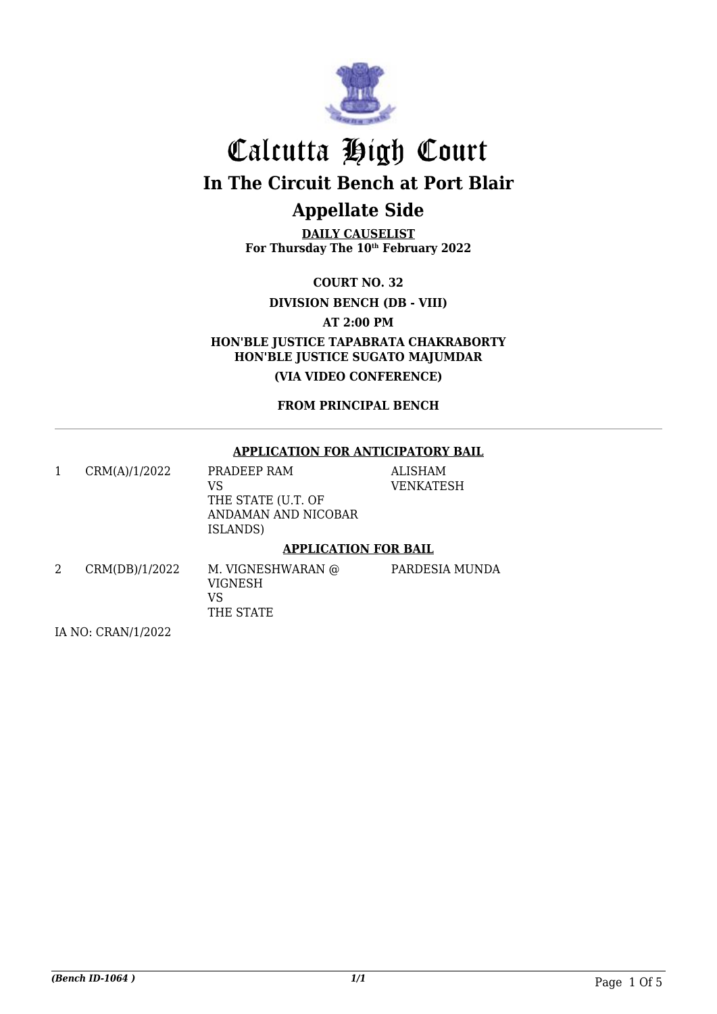

# Calcutta High Court **In The Circuit Bench at Port Blair**

### **Appellate Side**

**DAILY CAUSELIST For Thursday The 10th February 2022**

**COURT NO. 32**

**DIVISION BENCH (DB - VIII)**

**AT 2:00 PM**

**HON'BLE JUSTICE TAPABRATA CHAKRABORTY HON'BLE JUSTICE SUGATO MAJUMDAR**

**(VIA VIDEO CONFERENCE)**

**FROM PRINCIPAL BENCH**

#### **APPLICATION FOR ANTICIPATORY BAIL**

**MUNDA** 

|   | CRM(A)/1/2022  | PRADEEP RAM<br>VS<br>THE STATE (U.T. OF<br>ANDAMAN AND NICOBAR<br>ISLANDS) | <b>ALISHAM</b><br>VENKATESH |  |
|---|----------------|----------------------------------------------------------------------------|-----------------------------|--|
|   |                | <b>APPLICATION FOR BAIL</b>                                                |                             |  |
| 2 | CRM(DB)/1/2022 | M. VIGNESHWARAN @<br>VIGNESH<br>VS                                         | PARDESIA MT                 |  |

THE STATE

IA NO: CRAN/1/2022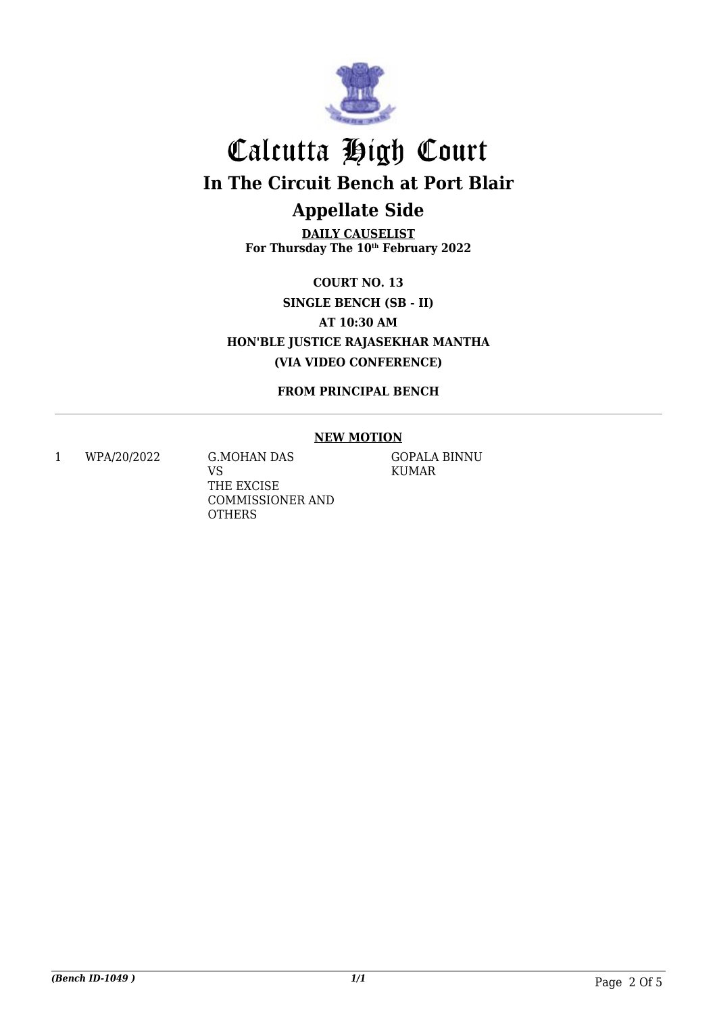

**DAILY CAUSELIST For Thursday The 10th February 2022**

**COURT NO. 13 SINGLE BENCH (SB - II) AT 10:30 AM HON'BLE JUSTICE RAJASEKHAR MANTHA (VIA VIDEO CONFERENCE)**

**FROM PRINCIPAL BENCH**

### **NEW MOTION**

1 WPA/20/2022 G.MOHAN DAS

VS THE EXCISE COMMISSIONER AND **OTHERS** 

GOPALA BINNU KUMAR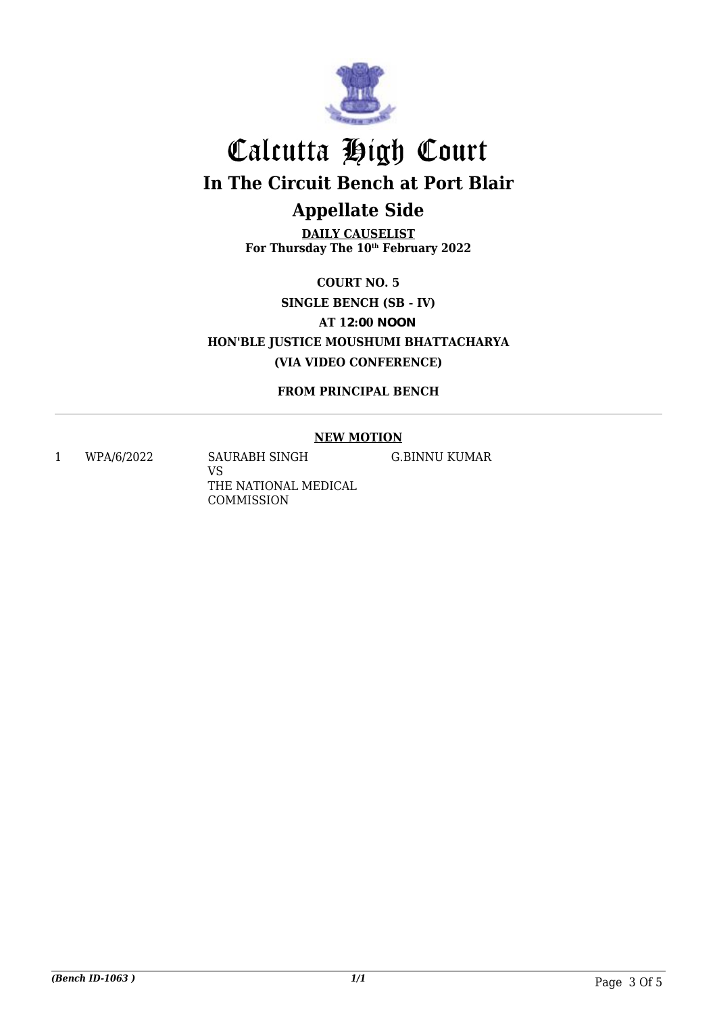

**DAILY CAUSELIST For Thursday The 10th February 2022**

**COURT NO. 5 SINGLE BENCH (SB - IV) AT 12:00 NOON HON'BLE JUSTICE MOUSHUMI BHATTACHARYA (VIA VIDEO CONFERENCE)**

**FROM PRINCIPAL BENCH**

### **NEW MOTION**

1 WPA/6/2022 SAURABH SINGH VS THE NATIONAL MEDICAL COMMISSION

G.BINNU KUMAR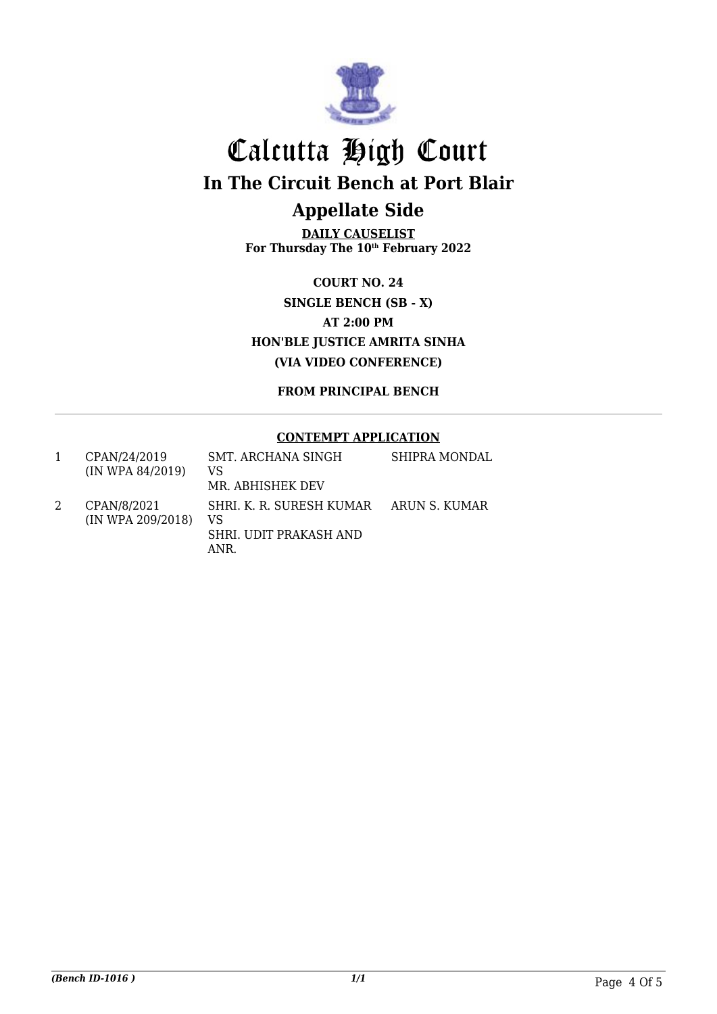

**DAILY CAUSELIST For Thursday The 10th February 2022**

**COURT NO. 24 SINGLE BENCH (SB - X) AT 2:00 PM HON'BLE JUSTICE AMRITA SINHA (VIA VIDEO CONFERENCE)**

**FROM PRINCIPAL BENCH**

#### **CONTEMPT APPLICATION**

| CPAN/24/2019<br>(IN WPA 84/2019) | SMT. ARCHANA SINGH<br>VS<br>MR. ABHISHEK DEV                     | <b>SHIPRA MONDAL</b> |
|----------------------------------|------------------------------------------------------------------|----------------------|
| CPAN/8/2021<br>(IN WPA 209/2018) | SHRI. K. R. SURESH KUMAR<br>VS<br>SHRI. UDIT PRAKASH AND<br>ANR. | ARUN S. KUMAR        |